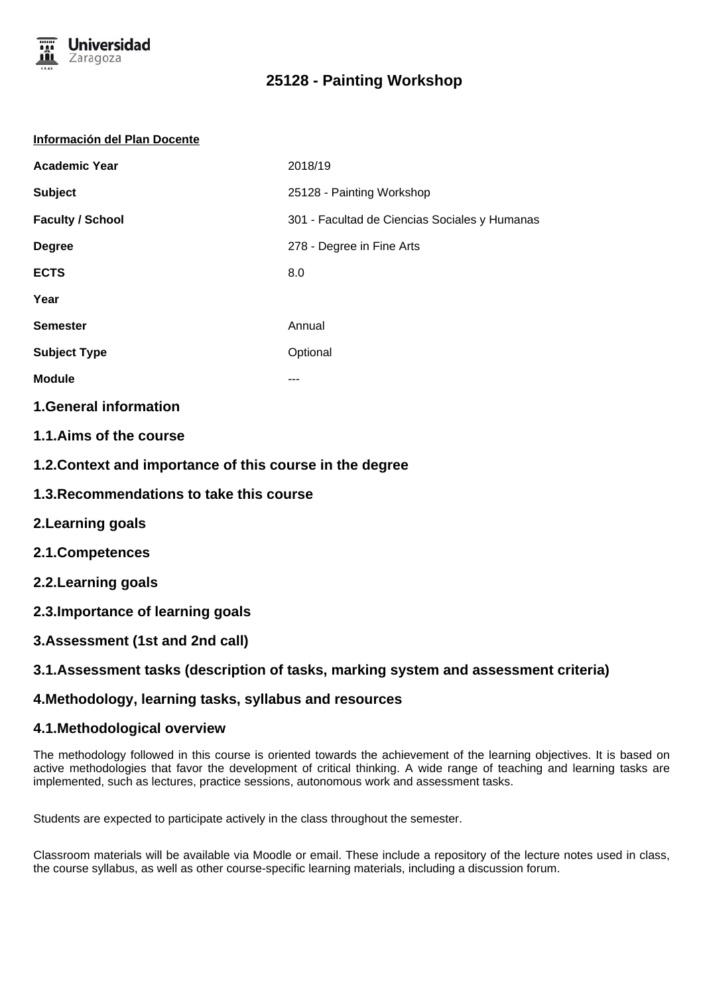

# **25128 - Painting Workshop**

#### **Información del Plan Docente**

| <b>Academic Year</b>    | 2018/19                                       |
|-------------------------|-----------------------------------------------|
| <b>Subject</b>          | 25128 - Painting Workshop                     |
| <b>Faculty / School</b> | 301 - Facultad de Ciencias Sociales y Humanas |
| <b>Degree</b>           | 278 - Degree in Fine Arts                     |
| <b>ECTS</b>             | 8.0                                           |
| Year                    |                                               |
| <b>Semester</b>         | Annual                                        |
| <b>Subject Type</b>     | Optional                                      |
| <b>Module</b>           | ---                                           |
|                         |                                               |

## **1.General information**

- **1.1.Aims of the course**
- **1.2.Context and importance of this course in the degree**
- **1.3.Recommendations to take this course**
- **2.Learning goals**
- **2.1.Competences**
- **2.2.Learning goals**
- **2.3.Importance of learning goals**
- **3.Assessment (1st and 2nd call)**

### **3.1.Assessment tasks (description of tasks, marking system and assessment criteria)**

### **4.Methodology, learning tasks, syllabus and resources**

### **4.1.Methodological overview**

The methodology followed in this course is oriented towards the achievement of the learning objectives. It is based on active methodologies that favor the development of critical thinking. A wide range of teaching and learning tasks are implemented, such as lectures, practice sessions, autonomous work and assessment tasks.

Students are expected to participate actively in the class throughout the semester.

Classroom materials will be available via Moodle or email. These include a repository of the lecture notes used in class, the course syllabus, as well as other course-specific learning materials, including a discussion forum.